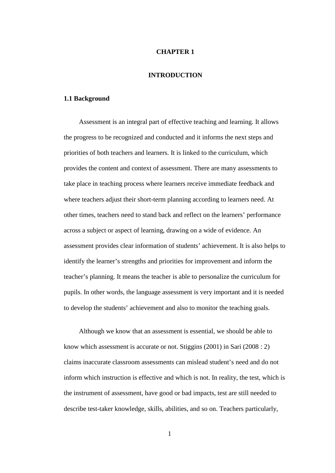### **CHAPTER 1**

# **INTRODUCTION**

#### **1.1 Background**

Assessment is an integral part of effective teaching and learning. It allows the progress to be recognized and conducted and it informs the next steps and priorities of both teachers and learners. It is linked to the curriculum, which provides the content and context of assessment. There are many assessments to take place in teaching process where learners receive immediate feedback and where teachers adjust their short-term planning according to learners need. At other times, teachers need to stand back and reflect on the learners' performance across a subject or aspect of learning, drawing on a wide of evidence. An assessment provides clear information of students' achievement. It is also helps to identify the learner's strengths and priorities for improvement and inform the teacher's planning. It means the teacher is able to personalize the curriculum for pupils. In other words, the language assessment is very important and it is needed to develop the students' achievement and also to monitor the teaching goals.

Although we know that an assessment is essential, we should be able to know which assessment is accurate or not. Stiggins (2001) in Sari (2008 : 2) claims inaccurate classroom assessments can mislead student's need and do not inform which instruction is effective and which is not. In reality, the test, which is the instrument of assessment, have good or bad impacts, test are still needed to describe test-taker knowledge, skills, abilities, and so on. Teachers particularly,

1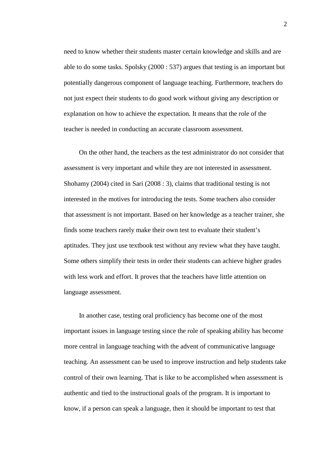need to know whether their students master certain knowledge and skills and are able to do some tasks. Spolsky (2000 : 537) argues that testing is an important but potentially dangerous component of language teaching. Furthermore, teachers do not just expect their students to do good work without giving any description or explanation on how to achieve the expectation. It means that the role of the teacher is needed in conducting an accurate classroom assessment.

On the other hand, the teachers as the test administrator do not consider that assessment is very important and while they are not interested in assessment. Shohamy (2004) cited in Sari (2008 : 3), claims that traditional testing is not interested in the motives for introducing the tests. Some teachers also consider that assessment is not important. Based on her knowledge as a teacher trainer, she finds some teachers rarely make their own test to evaluate their student's aptitudes. They just use textbook test without any review what they have taught. Some others simplify their tests in order their students can achieve higher grades with less work and effort. It proves that the teachers have little attention on language assessment.

In another case, testing oral proficiency has become one of the most important issues in language testing since the role of speaking ability has become more central in language teaching with the advent of communicative language teaching. An assessment can be used to improve instruction and help students take control of their own learning. That is like to be accomplished when assessment is authentic and tied to the instructional goals of the program. It is important to know, if a person can speak a language, then it should be important to test that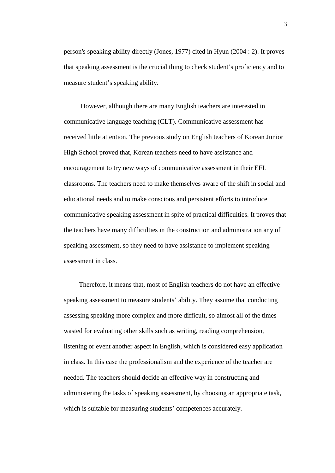person's speaking ability directly (Jones, 1977) cited in Hyun (2004 : 2). It proves that speaking assessment is the crucial thing to check student's proficiency and to measure student's speaking ability.

However, although there are many English teachers are interested in communicative language teaching (CLT). Communicative assessment has received little attention. The previous study on English teachers of Korean Junior High School proved that, Korean teachers need to have assistance and encouragement to try new ways of communicative assessment in their EFL classrooms. The teachers need to make themselves aware of the shift in social and educational needs and to make conscious and persistent efforts to introduce communicative speaking assessment in spite of practical difficulties. It proves that the teachers have many difficulties in the construction and administration any of speaking assessment, so they need to have assistance to implement speaking assessment in class.

Therefore, it means that, most of English teachers do not have an effective speaking assessment to measure students' ability. They assume that conducting assessing speaking more complex and more difficult, so almost all of the times wasted for evaluating other skills such as writing, reading comprehension, listening or event another aspect in English, which is considered easy application in class. In this case the professionalism and the experience of the teacher are needed. The teachers should decide an effective way in constructing and administering the tasks of speaking assessment, by choosing an appropriate task, which is suitable for measuring students' competences accurately.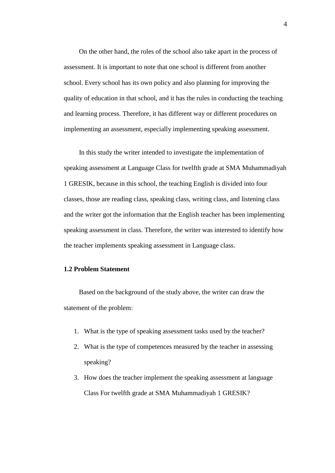On the other hand, the roles of the school also take apart in the process of assessment. It is important to note that one school is different from another school. Every school has its own policy and also planning for improving the quality of education in that school, and it has the rules in conducting the teaching and learning process. Therefore, it has different way or different procedures on implementing an assessment, especially implementing speaking assessment.

In this study the writer intended to investigate the implementation of speaking assessment at Language Class for twelfth grade at SMA Muhammadiyah 1 GRESIK, because in this school, the teaching English is divided into four classes, those are reading class, speaking class, writing class, and listening class and the writer got the information that the English teacher has been implementing speaking assessment in class. Therefore, the writer was interested to identify how the teacher implements speaking assessment in Language class.

## **1.2 Problem Statement**

Based on the background of the study above, the writer can draw the statement of the problem:

- 1. What is the type of speaking assessment tasks used by the teacher?
- 2. What is the type of competences measured by the teacher in assessing speaking?
- 3. How does the teacher implement the speaking assessment at language Class For twelfth grade at SMA Muhammadiyah 1 GRESIK?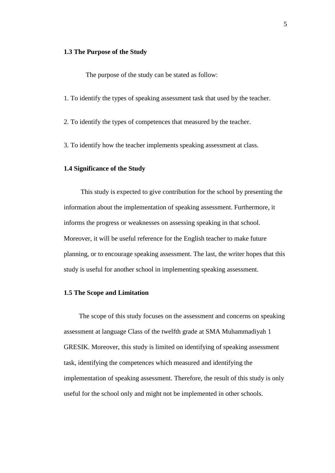### **1.3 The Purpose of the Study**

The purpose of the study can be stated as follow:

- 1. To identify the types of speaking assessment task that used by the teacher.
- 2. To identify the types of competences that measured by the teacher.
- 3. To identify how the teacher implements speaking assessment at class.

## **1.4 Significance of the Study**

This study is expected to give contribution for the school by presenting the information about the implementation of speaking assessment. Furthermore, it informs the progress or weaknesses on assessing speaking in that school. Moreover, it will be useful reference for the English teacher to make future planning, or to encourage speaking assessment. The last, the writer hopes that this study is useful for another school in implementing speaking assessment.

#### **1.5 The Scope and Limitation**

The scope of this study focuses on the assessment and concerns on speaking assessment at language Class of the twelfth grade at SMA Muhammadiyah 1 GRESIK. Moreover, this study is limited on identifying of speaking assessment task, identifying the competences which measured and identifying the implementation of speaking assessment. Therefore, the result of this study is only useful for the school only and might not be implemented in other schools.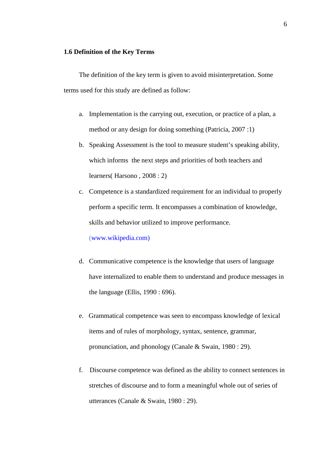### **1.6 Definition of the Key Terms**

The definition of the key term is given to avoid misinterpretation. Some terms used for this study are defined as follow:

- a. Implementation is the carrying out, execution, or practice of a plan, a method or any design for doing something (Patricia, 2007 :1)
- b. Speaking Assessment is the tool to measure student's speaking ability, which informs the next steps and priorities of both teachers and learners( Harsono , 2008 : 2)
- c. Competence is a standardized requirement for an individual to properly perform a specific term. It encompasses a combination of knowledge, skills and behavior utilized to improve performance.

(www.wikipedia.com)

- d. Communicative competence is the knowledge that users of language have internalized to enable them to understand and produce messages in the language (Ellis, 1990 : 696).
- e. Grammatical competence was seen to encompass knowledge of lexical items and of rules of morphology, syntax, sentence, grammar, pronunciation, and phonology (Canale & Swain, 1980 : 29).
- f. Discourse competence was defined as the ability to connect sentences in stretches of discourse and to form a meaningful whole out of series of utterances (Canale & Swain, 1980 : 29).